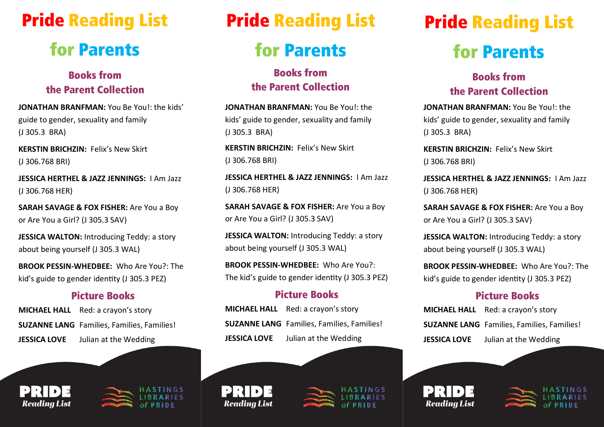## **Pride Reading List**

# **for Parents**

## **Books from** the Parent Collection

**JONATHAN BRANFMAN:** You Be You!: the kids' guide to gender, sexuality and family (J 305.3 BRA)

**KERSTIN BRICHZIN:** Felix's New Skirt (J 306.768 BRI)

**JESSICA HERTHEL & JAZZ JENNINGS:** I Am Jazz (J 306.768 HER)

**SARAH SAVAGE & FOX FISHER:** Are You a Boy or Are You a Girl? (J 305.3 SAV)

**JESSICA WALTON: Introducing Teddy: a story** about being yourself (J 305.3 WAL)

**BROOK PESSIN-WHEDBEE:** Who Are You?: The kid's guide to gender identity (J 305.3 PEZ)

### **Picture Books**

- **MICHAEL HALL** Red: a crayon's story
- **SUZANNE LANG** Families, Families, Families!

**JESSICA LOVE** Julian at the Wedding